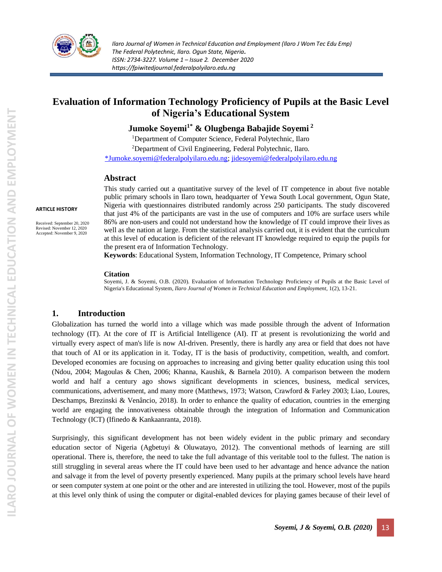

# **Evaluation of Information Technology Proficiency of Pupils at the Basic Level of Nigeria's Educational System**

# **Jumoke Soyemi1\* & Olugbenga Babajide Soyemi <sup>2</sup>**

<sup>1</sup>Department of Computer Science, Federal Polytechnic, Ilaro <sup>2</sup>Department of Civil Engineering, Federal Polytechnic, Ilaro. [\\*Jumoke.soyemi@federalpolyilaro.edu.ng;](mailto:*Jumoke.soyemi@federalpolyilaro.edu.ng) [jidesoyemi@federalpolyilaro.edu.ng](mailto:jidesoyemi@federalpolyilaro.edu.ng)

#### **Abstract**

**ARTICLE HISTORY**

Received: September 20, 2020 Revised: November 12, 2020 Accepted: November 9, 2020

This study carried out a quantitative survey of the level of IT competence in about five notable public primary schools in Ilaro town, headquarter of Yewa South Local government, Ogun State, Nigeria with questionnaires distributed randomly across 250 participants. The study discovered that just 4% of the participants are vast in the use of computers and 10% are surface users while 86% are non-users and could not understand how the knowledge of IT could improve their lives as well as the nation at large. From the statistical analysis carried out, it is evident that the curriculum at this level of education is deficient of the relevant IT knowledge required to equip the pupils for the present era of Information Technology.

**Keywords**: Educational System, Information Technology, IT Competence, Primary school

#### **Citation**

Soyemi, J. & Soyemi, O.B. (2020). Evaluation of Information Technology Proficiency of Pupils at the Basic Level of Nigeria's Educational System, *Ilaro Journal of Women in Technical Education and Employment,* 1(2), 13-21.

#### **1. Introduction**

Globalization has turned the world into a village which was made possible through the advent of Information technology (IT). At the core of IT is Artificial Intelligence (AI). IT at present is revolutionizing the world and virtually every aspect of man's life is now AI-driven. Presently, there is hardly any area or field that does not have that touch of AI or its application in it. Today, IT is the basis of productivity, competition, wealth, and comfort. Developed economies are focusing on approaches to increasing and giving better quality education using this tool (Ndou, 2004; Magoulas & Chen, 2006; Khanna, Kaushik, & Barnela 2010). A comparison between the modern world and half a century ago shows significant developments in sciences, business, medical services, communications, advertisement, and many more (Matthews, 1973; Watson, Crawford & Farley 2003; Liao, Loures, Deschamps, Brezinski & Venâncio, 2018). In order to enhance the quality of education, countries in the emerging world are engaging the innovativeness obtainable through the integration of Information and Communication Technology (ICT) (Ifinedo & Kankaanranta, 2018).

Surprisingly, this significant development has not been widely evident in the public primary and secondary education sector of Nigeria (Agbetuyi & Oluwatayo, 2012). The conventional methods of learning are still operational. There is, therefore, the need to take the full advantage of this veritable tool to the fullest. The nation is still struggling in several areas where the IT could have been used to her advantage and hence advance the nation and salvage it from the level of poverty presently experienced. Many pupils at the primary school levels have heard or seen computer system at one point or the other and are interested in utilizing the tool. However, most of the pupils at this level only think of using the computer or digital-enabled devices for playing games because of their level of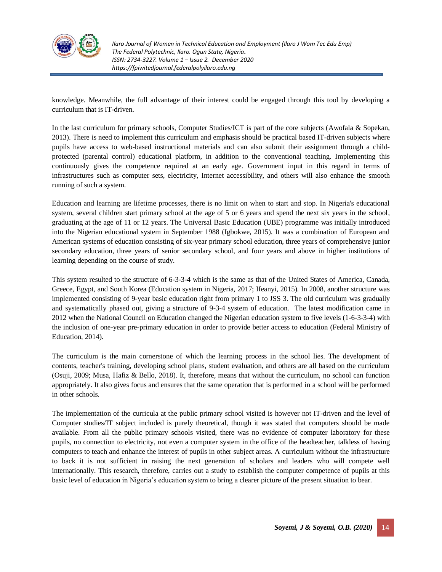

knowledge. Meanwhile, the full advantage of their interest could be engaged through this tool by developing a curriculum that is IT-driven.

In the last curriculum for primary schools, Computer Studies/ICT is part of the core subjects (Awofala & Sopekan, 2013). There is need to implement this curriculum and emphasis should be practical based IT-driven subjects where pupils have access to web-based instructional materials and can also submit their assignment through a childprotected (parental control) educational platform, in addition to the conventional teaching. Implementing this continuously gives the competence required at an early age. Government input in this regard in terms of infrastructures such as computer sets, electricity, Internet accessibility, and others will also enhance the smooth running of such a system.

Education and learning are lifetime processes, there is no limit on when to start and stop. In Nigeria's educational system, several children start primary school at the age of 5 or 6 years and spend the next six years in the school, graduating at the age of 11 or 12 years. The Universal Basic Education (UBE) programme was initially introduced into the Nigerian educational system in September 1988 (Igbokwe, 2015). It was a combination of European and American systems of education consisting of six-year primary school education, three years of comprehensive junior secondary education, three years of senior secondary school, and four years and above in higher institutions of learning depending on the course of study.

This system resulted to the structure of 6-3-3-4 which is the same as that of the United States of America, Canada, Greece, Egypt, and South Korea (Education system in Nigeria, 2017; Ifeanyi, 2015). In 2008, another structure was implemented consisting of 9-year basic education right from primary 1 to JSS 3. The old curriculum was gradually and systematically phased out, giving a structure of 9-3-4 system of education. The latest modification came in 2012 when the National Council on Education changed the Nigerian education system to five levels (1-6-3-3-4) with the inclusion of one-year pre-primary education in order to provide better access to education (Federal Ministry of Education, 2014).

The curriculum is the main cornerstone of which the learning process in the school lies. The development of contents, teacher's training, developing school plans, student evaluation, and others are all based on the curriculum (Osuji, 2009; Musa, Hafiz & Bello, 2018). It, therefore, means that without the curriculum, no school can function appropriately. It also gives focus and ensures that the same operation that is performed in a school will be performed in other schools.

The implementation of the curricula at the public primary school visited is however not IT-driven and the level of Computer studies/IT subject included is purely theoretical, though it was stated that computers should be made available. From all the public primary schools visited, there was no evidence of computer laboratory for these pupils, no connection to electricity, not even a computer system in the office of the headteacher, talkless of having computers to teach and enhance the interest of pupils in other subject areas. A curriculum without the infrastructure to back it is not sufficient in raising the next generation of scholars and leaders who will compete well internationally. This research, therefore, carries out a study to establish the computer competence of pupils at this basic level of education in Nigeria's education system to bring a clearer picture of the present situation to bear.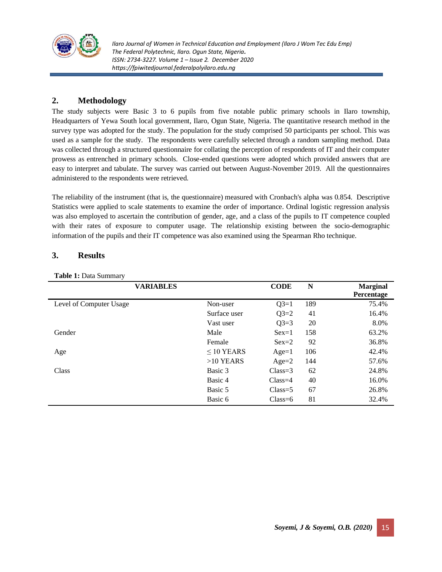

# **2. Methodology**

The study subjects were Basic 3 to 6 pupils from five notable public primary schools in Ilaro township, Headquarters of Yewa South local government, Ilaro, Ogun State, Nigeria. The quantitative research method in the survey type was adopted for the study. The population for the study comprised 50 participants per school. This was used as a sample for the study. The respondents were carefully selected through a random sampling method. Data was collected through a structured questionnaire for collating the perception of respondents of IT and their computer prowess as entrenched in primary schools. Close-ended questions were adopted which provided answers that are easy to interpret and tabulate. The survey was carried out between August-November 2019. All the questionnaires administered to the respondents were retrieved.

The reliability of the instrument (that is, the questionnaire) measured with Cronbach's alpha was 0.854. Descriptive Statistics were applied to scale statements to examine the order of importance. Ordinal logistic regression analysis was also employed to ascertain the contribution of gender, age, and a class of the pupils to IT competence coupled with their rates of exposure to computer usage. The relationship existing between the socio-demographic information of the pupils and their IT competence was also examined using the Spearman Rho technique.

# **3. Results**

**Table 1:** Data Summary

| <b>VARIABLES</b>        |                 | <b>CODE</b> | N   | <b>Marginal</b><br>Percentage |
|-------------------------|-----------------|-------------|-----|-------------------------------|
| Level of Computer Usage | Non-user        | $Q3=1$      | 189 | 75.4%                         |
|                         | Surface user    | $Q3=2$      | 41  | 16.4%                         |
|                         | Vast user       | $Q3=3$      | 20  | 8.0%                          |
| Gender                  | Male            | $Sex=1$     | 158 | 63.2%                         |
|                         | Female          | $Sex=2$     | 92  | 36.8%                         |
| Age                     | $\leq$ 10 YEARS | $Age=1$     | 106 | 42.4%                         |
|                         | $>10$ YEARS     | $Age=2$     | 144 | 57.6%                         |
| Class                   | Basic 3         | $Class = 3$ | 62  | 24.8%                         |
|                         | Basic 4         | $Class = 4$ | 40  | 16.0%                         |
|                         | Basic 5         | $Class = 5$ | 67  | 26.8%                         |
|                         | Basic 6         | $Class=6$   | 81  | 32.4%                         |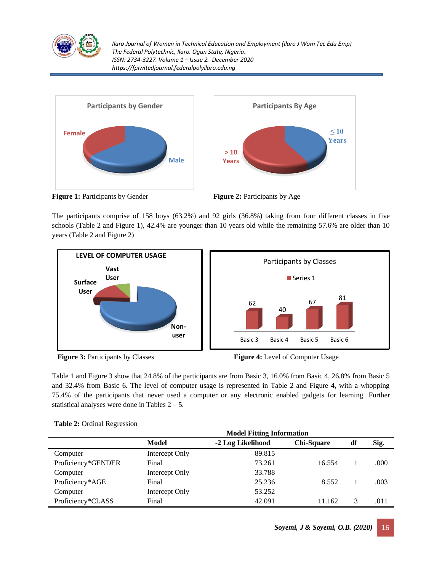



**Figure 1:** Participants by Gender **Figure 2:** Participants by Age



The participants comprise of 158 boys (63.2%) and 92 girls (36.8%) taking from four different classes in five schools (Table 2 and Figure 1), 42.4% are younger than 10 years old while the remaining 57.6% are older than 10 years (Table 2 and Figure 2)





Table 1 and Figure 3 show that 24.8% of the participants are from Basic 3, 16.0% from Basic 4, 26.8% from Basic 5 and 32.4% from Basic 6. The level of computer usage is represented in Table 2 and Figure 4, with a whopping 75.4% of the participants that never used a computer or any electronic enabled gadgets for learning. Further statistical analyses were done in Tables  $2 - 5$ .

|                    | <b>Model Fitting Information</b> |                   |                   |    |      |  |  |
|--------------------|----------------------------------|-------------------|-------------------|----|------|--|--|
|                    | Model                            | -2 Log Likelihood | <b>Chi-Square</b> | df | Sig. |  |  |
| Computer           | Intercept Only                   | 89.815            |                   |    |      |  |  |
| Proficiency*GENDER | Final                            | 73.261            | 16.554            |    | .000 |  |  |
| Computer           | Intercept Only                   | 33.788            |                   |    |      |  |  |
| Proficiency*AGE    | Final                            | 25.236            | 8.552             |    | .003 |  |  |
| Computer           | Intercept Only                   | 53.252            |                   |    |      |  |  |
| Proficiency*CLASS  | Final                            | 42.091            | 11.162            | 3  | .011 |  |  |

|  |  | Table 2: Ordinal Regression |
|--|--|-----------------------------|
|--|--|-----------------------------|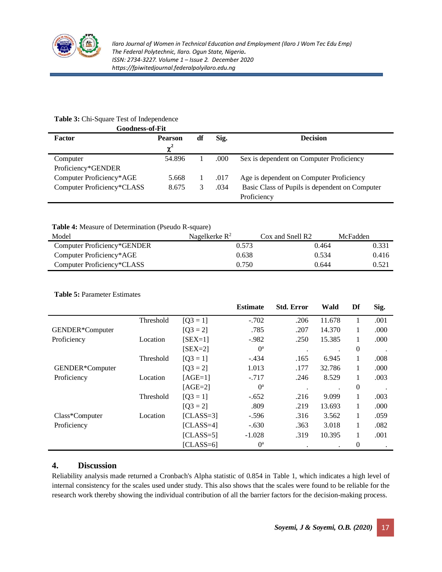

## **Table 3:** Chi-Square Test of Independence

| <b>Goodness-of-Fit</b>     |                |    |       |                                                |
|----------------------------|----------------|----|-------|------------------------------------------------|
| Factor                     | <b>Pearson</b> | df | Sig.  | <b>Decision</b>                                |
|                            | $\chi^2$       |    |       |                                                |
| Computer                   | 54.896         |    | .000. | Sex is dependent on Computer Proficiency       |
| Proficiency*GENDER         |                |    |       |                                                |
| Computer Proficiency*AGE   | 5.668          |    | .017  | Age is dependent on Computer Proficiency       |
| Computer Proficiency*CLASS | 8.675          |    | .034  | Basic Class of Pupils is dependent on Computer |
|                            |                |    |       | Proficiency                                    |

**Table 4:** Measure of Determination (Pseudo R-square)

| Model                       | Nagelkerke $R^2$ | Cox and Snell R2 | McFadden |
|-----------------------------|------------------|------------------|----------|
| Computer Proficiency*GENDER | 0.573            | 0.464            | 0.331    |
| Computer Proficiency*AGE    | 0.638            | 0.534            | 0.416    |
| Computer Proficiency*CLASS  | 0.750            | 0.644            | 0.521    |

### **Table 5:** Parameter Estimates

|                 |           |             | <b>Estimate</b> | <b>Std. Error</b> | Wald   | Df               | Sig. |
|-----------------|-----------|-------------|-----------------|-------------------|--------|------------------|------|
|                 | Threshold | $[O3 = 1]$  | $-.702$         | .206              | 11.678 |                  | .001 |
| GENDER*Computer |           | $[Q3 = 2]$  | .785            | .207              | 14.370 |                  | .000 |
| Proficiency     | Location  | $[SEX=1]$   | $-.982$         | .250              | 15.385 |                  | .000 |
|                 |           | $[SEX=2]$   | $0^a$           | $\bullet$         |        | $\boldsymbol{0}$ |      |
|                 | Threshold | $[Q3 = 1]$  | $-.434$         | .165              | 6.945  | 1                | .008 |
| GENDER*Computer |           | $[Q3 = 2]$  | 1.013           | .177              | 32.786 |                  | .000 |
| Proficiency     | Location  | $[AGE=1]$   | $-.717$         | .246              | 8.529  | 1                | .003 |
|                 |           | $[AGE=2]$   | O <sup>a</sup>  | $\cdot$           |        | $\mathbf{0}$     |      |
|                 | Threshold | $[Q3 = 1]$  | $-.652$         | .216              | 9.099  | 1                | .003 |
|                 |           | $[Q3 = 2]$  | .809            | .219              | 13.693 | 1                | .000 |
| Class*Computer  | Location  | $[CLASS=3]$ | $-.596$         | .316              | 3.562  | 1                | .059 |
| Proficiency     |           | $[CLASS=4]$ | $-.630$         | .363              | 3.018  |                  | .082 |
|                 |           | $[CLASS=5]$ | $-1.028$        | .319              | 10.395 |                  | .001 |
|                 |           | $[CLASS=6]$ | $0^a$           |                   |        | 0                |      |

# **4. Discussion**

Reliability analysis made returned a Cronbach's Alpha statistic of 0.854 in Table 1, which indicates a high level of internal consistency for the scales used under study. This also shows that the scales were found to be reliable for the research work thereby showing the individual contribution of all the barrier factors for the decision-making process.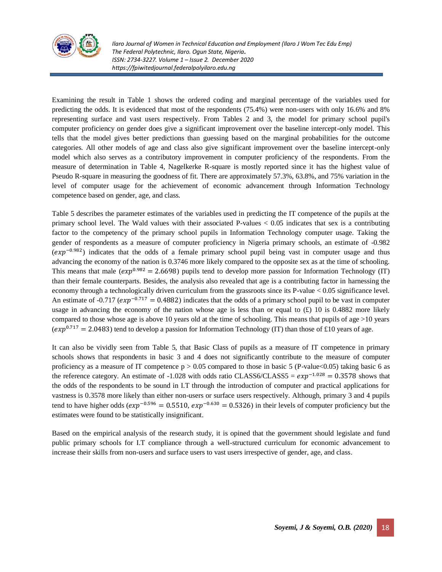

Examining the result in Table 1 shows the ordered coding and marginal percentage of the variables used for predicting the odds. It is evidenced that most of the respondents (75.4%) were non-users with only 16.6% and 8% representing surface and vast users respectively. From Tables 2 and 3, the model for primary school pupil's computer proficiency on gender does give a significant improvement over the baseline intercept-only model. This tells that the model gives better predictions than guessing based on the marginal probabilities for the outcome categories. All other models of age and class also give significant improvement over the baseline intercept-only model which also serves as a contributory improvement in computer proficiency of the respondents. From the measure of determination in Table 4, Nagelkerke R-square is mostly reported since it has the highest value of Pseudo R-square in measuring the goodness of fit. There are approximately 57.3%, 63.8%, and 75% variation in the level of computer usage for the achievement of economic advancement through Information Technology competence based on gender, age, and class.

Table 5 describes the parameter estimates of the variables used in predicting the IT competence of the pupils at the primary school level. The Wald values with their associated P-values < 0.05 indicates that sex is a contributing factor to the competency of the primary school pupils in Information Technology computer usage. Taking the gender of respondents as a measure of computer proficiency in Nigeria primary schools, an estimate of -0.982  $(exp^{-0.982})$  indicates that the odds of a female primary school pupil being vast in computer usage and thus advancing the economy of the nation is 0.3746 more likely compared to the opposite sex as at the time of schooling. This means that male  $(exp^{0.982} = 2.6698)$  pupils tend to develop more passion for Information Technology (IT) than their female counterparts. Besides, the analysis also revealed that age is a contributing factor in harnessing the economy through a technologically driven curriculum from the grassroots since its P-value < 0.05 significance level. An estimate of -0.717 ( $exp^{-0.717} = 0.4882$ ) indicates that the odds of a primary school pupil to be vast in computer usage in advancing the economy of the nation whose age is less than or equal to  $(E)$  10 is 0.4882 more likely compared to those whose age is above 10 years old at the time of schooling. This means that pupils of age  $>10$  years ( $exp^{0.717}$  = 2.0483) tend to develop a passion for Information Technology (IT) than those of £10 years of age.

It can also be vividly seen from Table 5, that Basic Class of pupils as a measure of IT competence in primary schools shows that respondents in basic 3 and 4 does not significantly contribute to the measure of computer proficiency as a measure of IT competence  $p > 0.05$  compared to those in basic 5 (P-value <0.05) taking basic 6 as the reference category. An estimate of -1.028 with odds ratio CLASS6/CLASS5 =  $exp^{-1.028}$  = 0.3578 shows that the odds of the respondents to be sound in I.T through the introduction of computer and practical applications for vastness is 0.3578 more likely than either non-users or surface users respectively. Although, primary 3 and 4 pupils tend to have higher odds  $(exp^{-0.596} = 0.5510, exp^{-0.630} = 0.5326)$  in their levels of computer proficiency but the estimates were found to be statistically insignificant.

Based on the empirical analysis of the research study, it is opined that the government should legislate and fund public primary schools for I.T compliance through a well-structured curriculum for economic advancement to increase their skills from non-users and surface users to vast users irrespective of gender, age, and class.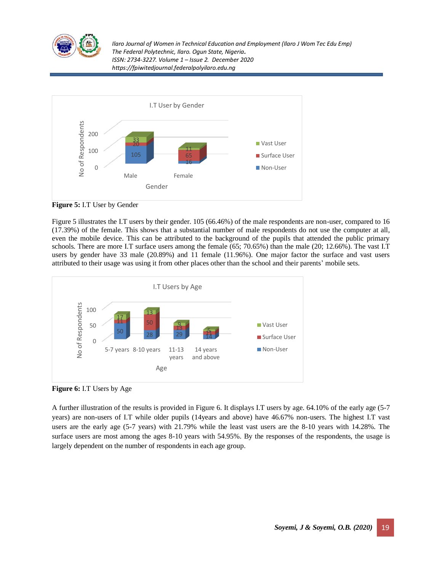



**Figure 5:** I.T User by Gender

Figure 5 illustrates the I.T users by their gender. 105 (66.46%) of the male respondents are non-user, compared to 16 (17.39%) of the female. This shows that a substantial number of male respondents do not use the computer at all, even the mobile device. This can be attributed to the background of the pupils that attended the public primary schools. There are more I.T surface users among the female (65; 70.65%) than the male (20; 12.66%). The vast I.T users by gender have 33 male (20.89%) and 11 female (11.96%). One major factor the surface and vast users attributed to their usage was using it from other places other than the school and their parents' mobile sets.



**Figure 6:** I.T Users by Age

A further illustration of the results is provided in Figure 6. It displays I.T users by age. 64.10% of the early age (5-7 years) are non-users of I.T while older pupils (14years and above) have 46.67% non-users. The highest I.T vast users are the early age (5-7 years) with 21.79% while the least vast users are the 8-10 years with 14.28%. The surface users are most among the ages 8-10 years with 54.95%. By the responses of the respondents, the usage is largely dependent on the number of respondents in each age group.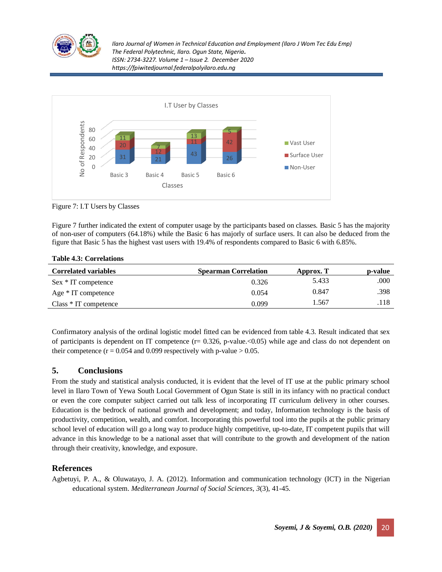



Figure 7: I.T Users by Classes

Figure 7 further indicated the extent of computer usage by the participants based on classes. Basic 5 has the majority of non-user of computers (64.18%) while the Basic 6 has majorly of surface users. It can also be deduced from the figure that Basic 5 has the highest vast users with 19.4% of respondents compared to Basic 6 with 6.85%.

| <b>Table 4.3: Correlations</b> |                             |           |         |
|--------------------------------|-----------------------------|-----------|---------|
| <b>Correlated variables</b>    | <b>Spearman Correlation</b> | Approx. T | p-value |
| Sex * IT competence            | 0.326                       | 5.433     | .000    |
| Age $*$ IT competence          | 0.054                       | 0.847     | .398    |
| $Class * IT$ competence        | 0.099                       | 1.567     | .118    |

**Table 4.3: Correlations**

Confirmatory analysis of the ordinal logistic model fitted can be evidenced from table 4.3. Result indicated that sex of participants is dependent on IT competence  $(r= 0.326, p-value$ . < 0.05) while age and class do not dependent on their competence ( $r = 0.054$  and 0.099 respectively with p-value  $> 0.05$ .

#### **5. Conclusions**

From the study and statistical analysis conducted, it is evident that the level of IT use at the public primary school level in Ilaro Town of Yewa South Local Government of Ogun State is still in its infancy with no practical conduct or even the core computer subject carried out talk less of incorporating IT curriculum delivery in other courses. Education is the bedrock of national growth and development; and today, Information technology is the basis of productivity, competition, wealth, and comfort. Incorporating this powerful tool into the pupils at the public primary school level of education will go a long way to produce highly competitive, up-to-date, IT competent pupils that will advance in this knowledge to be a national asset that will contribute to the growth and development of the nation through their creativity, knowledge, and exposure.

# **References**

Agbetuyi, P. A., & Oluwatayo, J. A. (2012). Information and communication technology (ICT) in the Nigerian educational system. *Mediterranean Journal of Social Sciences*, *3*(3), 41-45.